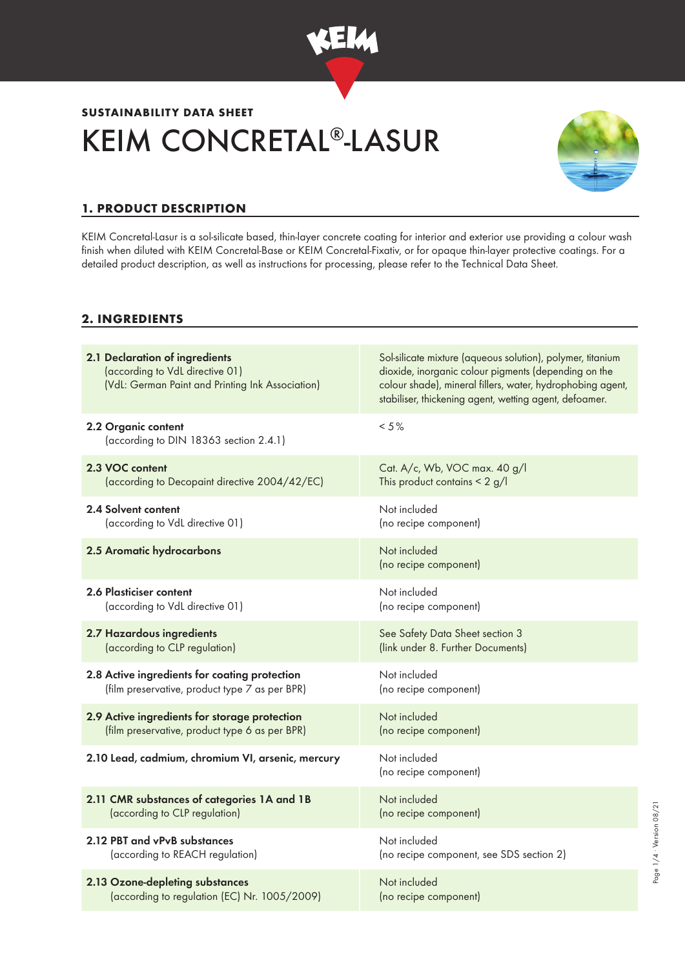

# KEIM CONCRETAL®-LASUR **SUSTAINABILITY DATA SHEET**



# **1. PRODUCT DESCRIPTION**

KEIM Concretal-Lasur is a sol-silicate based, thin-layer concrete coating for interior and exterior use providing a colour wash finish when diluted with KEIM Concretal-Base or KEIM Concretal-Fixativ, or for opaque thin-layer protective coatings. For a detailed product description, as well as instructions for processing, please refer to the Technical Data Sheet.

## **2. INGREDIENTS**

| 2.1 Declaration of ingredients<br>(according to VdL directive 01)<br>(VdL: German Paint and Printing Ink Association) | Sol-silicate mixture (aqueous solution), polymer, titanium<br>dioxide, inorganic colour pigments (depending on the<br>colour shade), mineral fillers, water, hydrophobing agent,<br>stabiliser, thickening agent, wetting agent, defoamer. |
|-----------------------------------------------------------------------------------------------------------------------|--------------------------------------------------------------------------------------------------------------------------------------------------------------------------------------------------------------------------------------------|
| 2.2 Organic content<br>(according to DIN 18363 section 2.4.1)                                                         | $< 5 \%$                                                                                                                                                                                                                                   |
| 2.3 VOC content                                                                                                       | Cat. A/c, Wb, VOC max. 40 g/l                                                                                                                                                                                                              |
| (according to Decopaint directive 2004/42/EC)                                                                         | This product contains $\leq 2$ g/l                                                                                                                                                                                                         |
| 2.4 Solvent content                                                                                                   | Not included                                                                                                                                                                                                                               |
| (according to VdL directive 01)                                                                                       | (no recipe component)                                                                                                                                                                                                                      |
| 2.5 Aromatic hydrocarbons                                                                                             | Not included<br>(no recipe component)                                                                                                                                                                                                      |
| <b>2.6 Plasticiser content</b>                                                                                        | Not included                                                                                                                                                                                                                               |
| (according to VdL directive 01)                                                                                       | (no recipe component)                                                                                                                                                                                                                      |
| 2.7 Hazardous ingredients                                                                                             | See Safety Data Sheet section 3                                                                                                                                                                                                            |
| (according to CLP regulation)                                                                                         | (link under 8. Further Documents)                                                                                                                                                                                                          |
| 2.8 Active ingredients for coating protection                                                                         | Not included                                                                                                                                                                                                                               |
| (film preservative, product type 7 as per BPR)                                                                        | (no recipe component)                                                                                                                                                                                                                      |
| 2.9 Active ingredients for storage protection                                                                         | Not included                                                                                                                                                                                                                               |
| (film preservative, product type 6 as per BPR)                                                                        | (no recipe component)                                                                                                                                                                                                                      |
| 2.10 Lead, cadmium, chromium VI, arsenic, mercury                                                                     | Not included<br>(no recipe component)                                                                                                                                                                                                      |
| 2.11 CMR substances of categories 1A and 1B                                                                           | Not included                                                                                                                                                                                                                               |
| (according to CLP regulation)                                                                                         | (no recipe component)                                                                                                                                                                                                                      |
| 2.12 PBT and vPvB substances                                                                                          | Not included                                                                                                                                                                                                                               |
| (according to REACH regulation)                                                                                       | (no recipe component, see SDS section 2)                                                                                                                                                                                                   |
| 2.13 Ozone-depleting substances                                                                                       | Not included                                                                                                                                                                                                                               |
| (according to regulation (EC) Nr. 1005/2009)                                                                          | (no recipe component)                                                                                                                                                                                                                      |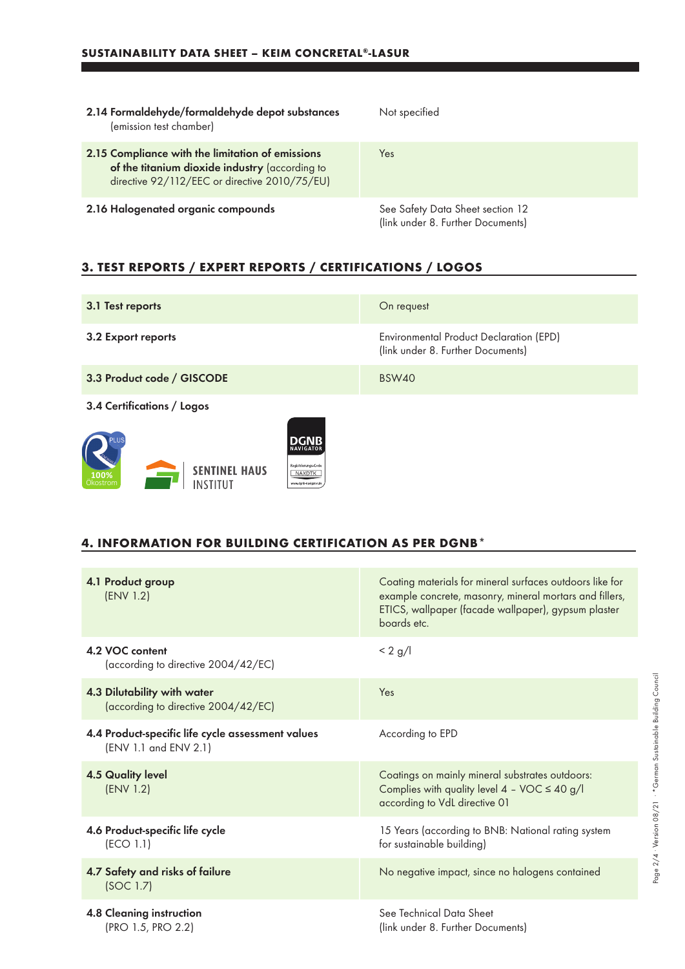a sa kacamatan ing Kabupatèn Kabupatèn Kabupatèn Kabupatèn Kabupatèn Kabupatèn Kabupatèn Kabupatèn Kabupatèn K

| 2.14 Formaldehyde/formaldehyde depot substances<br>(emission test chamber)                                                                          | Not specified                                                         |
|-----------------------------------------------------------------------------------------------------------------------------------------------------|-----------------------------------------------------------------------|
| 2.15 Compliance with the limitation of emissions<br>of the titanium dioxide industry (according to<br>directive 92/112/EEC or directive 2010/75/EU) | Yes                                                                   |
| 2.16 Halogenated organic compounds                                                                                                                  | See Safety Data Sheet section 12<br>(link under 8. Further Documents) |

# **3. TEST REPORTS / EXPERT REPORTS / CERTIFICATIONS / LOGOS**

| 3.1 Test reports                                                                                                               | On request                                                                          |
|--------------------------------------------------------------------------------------------------------------------------------|-------------------------------------------------------------------------------------|
| 3.2 Export reports                                                                                                             | <b>Environmental Product Declaration (EPD)</b><br>(link under 8. Further Documents) |
| 3.3 Product code / GISCODE                                                                                                     | <b>BSW40</b>                                                                        |
| 3.4 Certifications / Logos                                                                                                     |                                                                                     |
| DGNB<br><b>NAVIGATOR</b><br>Registrierungs-Code<br><b>SENTINEL HAUS</b><br>NAXDTK<br>100%<br>Ökostrom<br>www.dqnb-navigator.di |                                                                                     |

#### **4. INFORMATION FOR BUILDING CERTIFICATION AS PER DGNB\***

| 4.1 Product group<br>(ENV 1.2)                                             | Coating materials for mineral surfaces outdoors like for<br>example concrete, masonry, mineral mortars and fillers,<br>ETICS, wallpaper (facade wallpaper), gypsum plaster<br>boards etc. |
|----------------------------------------------------------------------------|-------------------------------------------------------------------------------------------------------------------------------------------------------------------------------------------|
| 4.2 VOC content<br>(according to directive 2004/42/EC)                     | $< 2$ g/l                                                                                                                                                                                 |
| 4.3 Dilutability with water<br>(according to directive 2004/42/EC)         | Yes                                                                                                                                                                                       |
| 4.4 Product-specific life cycle assessment values<br>(ENV 1.1 and ENV 2.1) | According to EPD                                                                                                                                                                          |
| <b>4.5 Quality level</b><br>(ENV 1.2)                                      | Coatings on mainly mineral substrates outdoors:<br>Complies with quality level $4 - \text{VOC} \le 40 \text{ g/l}$<br>according to VdL directive 01                                       |
| 4.6 Product-specific life cycle<br>(ECO 1.1)                               | 15 Years (according to BNB: National rating system<br>for sustainable building)                                                                                                           |
| 4.7 Safety and risks of failure<br>(SOC 1.7)                               | No negative impact, since no halogens contained                                                                                                                                           |
| 4.8 Cleaning instruction<br>(PRO 1.5, PRO 2.2)                             | See Technical Data Sheet<br>(link under 8. Further Documents)                                                                                                                             |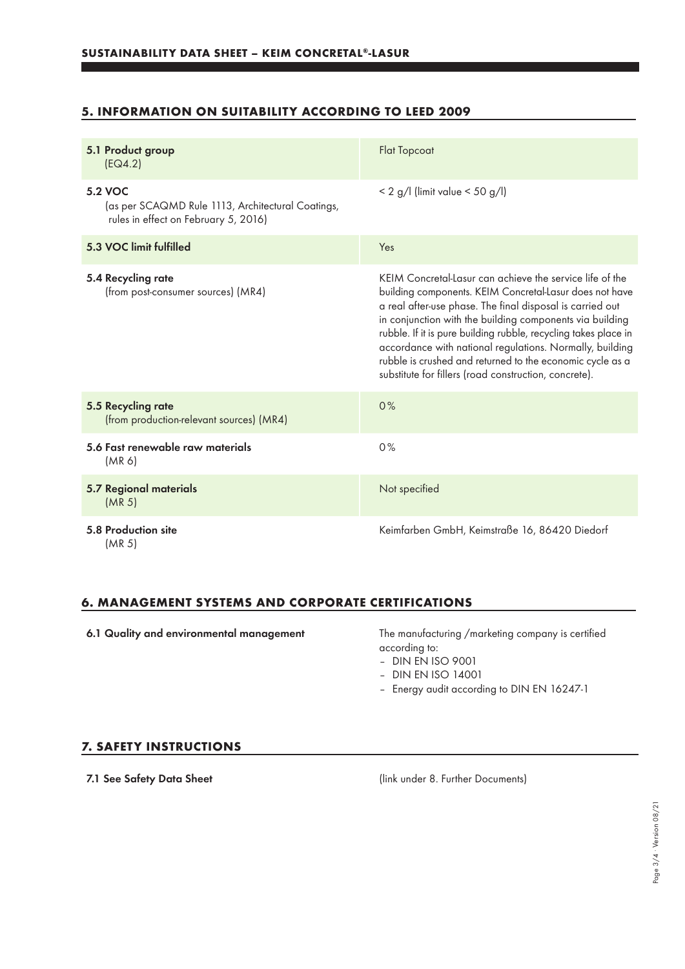## **5. INFORMATION ON SUITABILITY ACCORDING TO LEED 2009**

| 5.1 Product group<br>[EQ4.2]                                                                         | <b>Flat Topcoat</b>                                                                                                                                                                                                                                                                                                                                                                                                                                                                               |
|------------------------------------------------------------------------------------------------------|---------------------------------------------------------------------------------------------------------------------------------------------------------------------------------------------------------------------------------------------------------------------------------------------------------------------------------------------------------------------------------------------------------------------------------------------------------------------------------------------------|
| 5.2 VOC<br>(as per SCAQMD Rule 1113, Architectural Coatings,<br>rules in effect on February 5, 2016) | $< 2$ g/l (limit value $< 50$ g/l)                                                                                                                                                                                                                                                                                                                                                                                                                                                                |
| 5.3 VOC limit fulfilled                                                                              | Yes                                                                                                                                                                                                                                                                                                                                                                                                                                                                                               |
| 5.4 Recycling rate<br>(from post-consumer sources) (MR4)                                             | KEIM Concretal-Lasur can achieve the service life of the<br>building components. KEIM Concretal-Lasur does not have<br>a real after-use phase. The final disposal is carried out<br>in conjunction with the building components via building<br>rubble. If it is pure building rubble, recycling takes place in<br>accordance with national regulations. Normally, building<br>rubble is crushed and returned to the economic cycle as a<br>substitute for fillers (road construction, concrete). |
| 5.5 Recycling rate<br>(from production-relevant sources) (MR4)                                       | 0%                                                                                                                                                                                                                                                                                                                                                                                                                                                                                                |
| 5.6 Fast renewable raw materials<br>(MR 6)                                                           | 0%                                                                                                                                                                                                                                                                                                                                                                                                                                                                                                |
| 5.7 Regional materials<br>(MR <sub>5</sub> )                                                         | Not specified                                                                                                                                                                                                                                                                                                                                                                                                                                                                                     |
| 5.8 Production site<br>(MR 5)                                                                        | Keimfarben GmbH, Keimstraße 16, 86420 Diedorf                                                                                                                                                                                                                                                                                                                                                                                                                                                     |

### **6. MANAGEMENT SYSTEMS AND CORPORATE CERTIFICATIONS**

6.1 Quality and environmental management The manufacturing /marketing company is certified according to:

– DIN EN ISO 9001

- DIN EN ISO 14001
- Energy audit according to DIN EN 16247-1

#### **7. SAFETY INSTRUCTIONS**

7.1 See Safety Data Sheet (link under 8. Further Documents)